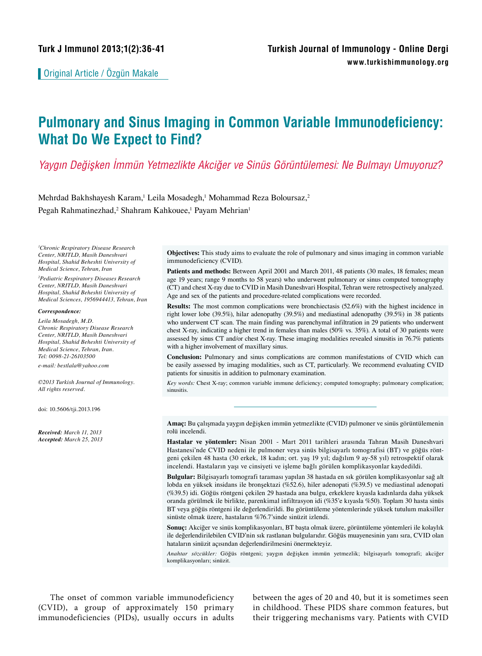Original Article / Özgün Makale

# **Pulmonary and Sinus Imaging in Common Variable Immunodeficiency: What Do We Expect to Find?**

## *Yaygın Değişken İmmün Yetmezlikte Akciğer ve Sinüs Görüntülemesi: Ne Bulmayı Umuyoruz?*

Mehrdad Bakhshayesh Karam,<sup>1</sup> Leila Mosadegh,<sup>1</sup> Mohammad Reza Boloursaz,<sup>2</sup> Pegah Rahmatinezhad,<sup>2</sup> Shahram Kahkouee,<sup>1</sup> Payam Mehrian<sup>1</sup>

*1 Chronic Respiratory Disease Research Center, NRITLD, Masih Daneshvari Hospital, Shahid Beheshti University of Medical Science, Tehran, Iran*

*2 Pediatric Respiratory Diseases Research Center, NRITLD, Masih Daneshvari Hospital, Shahid Beheshti University of Medical Sciences, 1956944413, Tehran, Iran*

#### *Correspondence:*

*Leila Mosadegh, M.D. Chronic Respiratory Disease Research Center, NRITLD, Masih Daneshvari Hospital, Shahid Beheshti University of Medical Science, Tehran, Iran. Tel: 0098-21-26103500*

*e-mail: bestlala@yahoo.com*

*©2013 Turkish Journal of Immunology. All rights reserved.*

doi: 10.5606/tji.2013.196

*Received: March 11, 2013 Accepted: March 25, 2013* 

**Objectives:** This study aims to evaluate the role of pulmonary and sinus imaging in common variable immunodeficiency (CVID).

Patients and methods: Between April 2001 and March 2011, 48 patients (30 males, 18 females; mean age 19 years; range 9 months to 58 years) who underwent pulmonary or sinus computed tomography (CT) and chest X-ray due to CVID in Masih Daneshvari Hospital, Tehran were retrospectively analyzed. Age and sex of the patients and procedure-related complications were recorded.

**Results:** The most common complications were bronchiectasis (52.6%) with the highest incidence in right lower lobe (39.5%), hilar adenopathy (39.5%) and mediastinal adenopathy (39.5%) in 38 patients who underwent CT scan. The main finding was parenchymal infiltration in 29 patients who underwent chest X-ray, indicating a higher trend in females than males (50% vs. 35%). A total of 30 patients were assessed by sinus CT and/or chest X-ray. These imaging modalities revealed sinusitis in 76.7% patients with a higher involvement of maxillary sinus.

**Conclusion:** Pulmonary and sinus complications are common manifestations of CVID which can be easily assessed by imaging modalities, such as CT, particularly. We recommend evaluating CVID patients for sinusitis in addition to pulmonary examination.

*Key words:* Chest X-ray; common variable immune deficiency; computed tomography; pulmonary complication; sinusitis.

**Amaç:** Bu çalışmada yaygın değişken immün yetmezlikte (CVID) pulmoner ve sinüs görüntülemenin rolü incelendi.

**Hastalar ve yöntemler:** Nisan 2001 - Mart 2011 tarihleri arasında Tahran Masih Daneshvari Hastanesi'nde CVID nedeni ile pulmoner veya sinüs bilgisayarlı tomografisi (BT) ve göğüs röntgeni çekilen 48 hasta (30 erkek, 18 kadın; ort. yaş 19 yıl; dağılım 9 ay-58 yıl) retrospektif olarak incelendi. Hastaların yaşı ve cinsiyeti ve işleme bağlı görülen komplikasyonlar kaydedildi.

**Bulgular:** Bilgisayarlı tomografi taraması yapılan 38 hastada en sık görülen komplikasyonlar sağ alt lobda en yüksek insidans ile bronşektazi (%52.6), hiler adenopati (%39.5) ve mediastinal adenopati (%39.5) idi. Göğüs röntgeni çekilen 29 hastada ana bulgu, erkeklere kıyasla kadınlarda daha yüksek oranda görülmek ile birlikte, parenkimal infiltrasyon idi (%35'e kıyasla %50). Toplam 30 hasta sinüs BT veya göğüs röntgeni ile değerlendirildi. Bu görüntüleme yöntemlerinde yüksek tutulum maksiller sinüste olmak üzere, hastaların %76.7'sinde sinüzit izlendi.

**Sonuç:** Akciğer ve sinüs komplikasyonları, BT başta olmak üzere, görüntüleme yöntemleri ile kolaylık ile değerlendirilebilen CVID'nin sık rastlanan bulgularıdır. Göğüs muayenesinin yanı sıra, CVID olan hataların sinüzit açısından değerlendirilmesini önermekteyiz.

*Anahtar sözcükler:* Göğüs röntgeni; yaygın değişken immün yetmezlik; bilgisayarlı tomografi; akciğer komplikasyonları; sinüzit.

The onset of common variable immunodeficiency (CVID), a group of approximately 150 primary immunodeficiencies (PIDs), usually occurs in adults between the ages of 20 and 40, but it is sometimes seen in childhood. These PIDS share common features, but their triggering mechanisms vary. Patients with CVID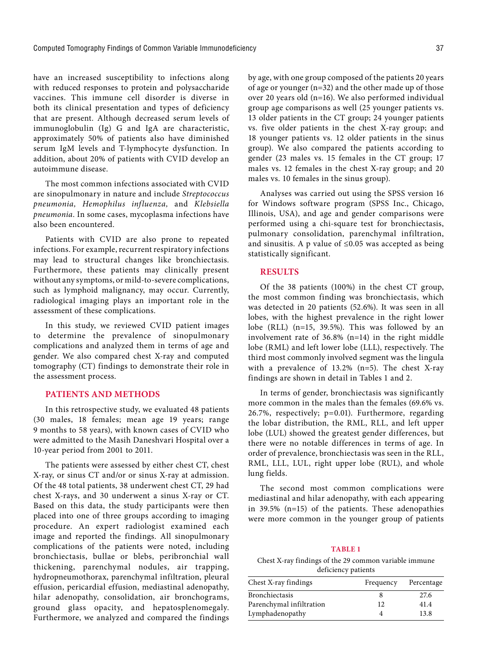have an increased susceptibility to infections along with reduced responses to protein and polysaccharide vaccines. This immune cell disorder is diverse in both its clinical presentation and types of deficiency that are present. Although decreased serum levels of immunoglobulin (Ig) G and IgA are characteristic, approximately 50% of patients also have diminished serum IgM levels and T-lymphocyte dysfunction. In addition, about 20% of patients with CVID develop an autoimmune disease.

The most common infections associated with CVID are sinopulmonary in nature and include *Streptococcus pneumonia, Hemophilus influenza,* and *Klebsiella pneumonia*. In some cases, mycoplasma infections have also been encountered.

Patients with CVID are also prone to repeated infections. For example, recurrent respiratory infections may lead to structural changes like bronchiectasis. Furthermore, these patients may clinically present without any symptoms, or mild-to-severe complications, such as lymphoid malignancy, may occur. Currently, radiological imaging plays an important role in the assessment of these complications.

In this study, we reviewed CVID patient images to determine the prevalence of sinopulmonary complications and analyzed them in terms of age and gender. We also compared chest X-ray and computed tomography (CT) findings to demonstrate their role in the assessment process.

#### **PATIENTS AND METHODS**

In this retrospective study, we evaluated 48 patients (30 males, 18 females; mean age 19 years; range 9 months to 58 years), with known cases of CVID who were admitted to the Masih Daneshvari Hospital over a 10-year period from 2001 to 2011.

The patients were assessed by either chest CT, chest X-ray, or sinus CT and/or or sinus X-ray at admission. Of the 48 total patients, 38 underwent chest CT, 29 had chest X-rays, and 30 underwent a sinus X-ray or CT. Based on this data, the study participants were then placed into one of three groups according to imaging procedure. An expert radiologist examined each image and reported the findings. All sinopulmonary complications of the patients were noted, including bronchiectasis, bullae or blebs, peribronchial wall thickening, parenchymal nodules, air trapping, hydropneumothorax, parenchymal infiltration, pleural effusion, pericardial effusion, mediastinal adenopathy, hilar adenopathy, consolidation, air bronchograms, ground glass opacity, and hepatosplenomegaly. Furthermore, we analyzed and compared the findings

by age, with one group composed of the patients 20 years of age or younger (n=32) and the other made up of those over 20 years old (n=16). We also performed individual group age comparisons as well (25 younger patients vs. 13 older patients in the CT group; 24 younger patients vs. five older patients in the chest X-ray group; and 18 younger patients vs. 12 older patients in the sinus group). We also compared the patients according to gender (23 males vs. 15 females in the CT group; 17 males vs. 12 females in the chest X-ray group; and 20 males vs. 10 females in the sinus group).

Analyses was carried out using the SPSS version 16 for Windows software program (SPSS Inc., Chicago, Illinois, USA), and age and gender comparisons were performed using a chi-square test for bronchiectasis, pulmonary consolidation, parenchymal infiltration, and sinusitis. A p value of  $\leq 0.05$  was accepted as being statistically significant.

### **RESULTS**

Of the 38 patients (100%) in the chest CT group, the most common finding was bronchiectasis, which was detected in 20 patients (52.6%). It was seen in all lobes, with the highest prevalence in the right lower lobe (RLL) (n=15, 39.5%). This was followed by an involvement rate of 36.8% (n=14) in the right middle lobe (RML) and left lower lobe (LLL), respectively. The third most commonly involved segment was the lingula with a prevalence of  $13.2\%$  (n=5). The chest X-ray findings are shown in detail in Tables 1 and 2.

In terms of gender, bronchiectasis was significantly more common in the males than the females (69.6% vs. 26.7%, respectively; p=0.01). Furthermore, regarding the lobar distribution, the RML, RLL, and left upper lobe (LUL) showed the greatest gender differences, but there were no notable differences in terms of age. In order of prevalence, bronchiectasis was seen in the RLL, RML, LLL, LUL, right upper lobe (RUL), and whole lung fields.

The second most common complications were mediastinal and hilar adenopathy, with each appearing in 39.5% (n=15) of the patients. These adenopathies were more common in the younger group of patients

#### **Table 1**

Chest X-ray findings of the 29 common variable immune deficiency patients

| Frequency | Percentage |
|-----------|------------|
|           | 27.6       |
| 12        | 41.4       |
|           | 13.8       |
|           |            |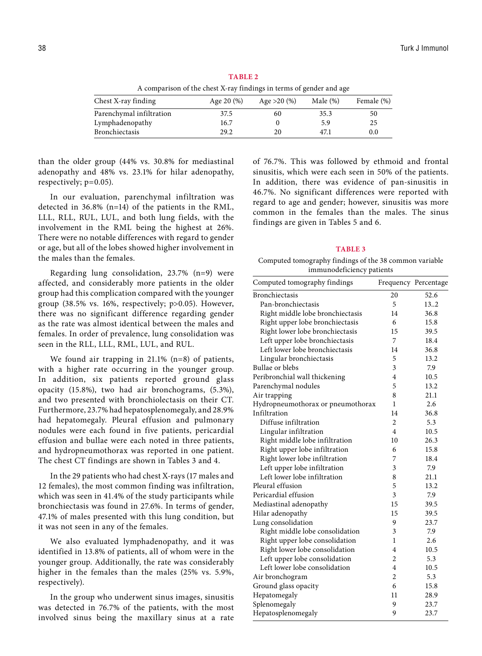**Table 2** A comparison of the chest X-ray findings in terms of gender and age

| Chest X-ray finding      | Age $20\,(%)$ | Age $>20$ (%) | Male $(\%)$ | Female (%) |
|--------------------------|---------------|---------------|-------------|------------|
| Parenchymal infiltration | 37.5          | 60            | 35.3        | 50         |
| Lymphadenopathy          | 16.7          |               | 5.9         | 25         |
| Bronchiectasis           | 29.2          | 20            | 47.1        | 0.0        |

than the older group (44% vs. 30.8% for mediastinal adenopathy and 48% vs. 23.1% for hilar adenopathy, respectively; p=0.05).

In our evaluation, parenchymal infiltration was detected in 36.8% (n=14) of the patients in the RML, LLL, RLL, RUL, LUL, and both lung fields, with the involvement in the RML being the highest at 26%. There were no notable differences with regard to gender or age, but all of the lobes showed higher involvement in the males than the females.

Regarding lung consolidation, 23.7% (n=9) were affected, and considerably more patients in the older group had this complication compared with the younger group (38.5% vs. 16%, respectively; p>0.05). However, there was no significant difference regarding gender as the rate was almost identical between the males and females. In order of prevalence, lung consolidation was seen in the RLL, LLL, RML, LUL, and RUL.

We found air trapping in 21.1% (n=8) of patients, with a higher rate occurring in the younger group. In addition, six patients reported ground glass opacity (15.8%), two had air bronchograms, (5.3%), and two presented with bronchiolectasis on their CT. Furthermore, 23.7% had hepatosplenomegaly, and 28.9% had hepatomegaly. Pleural effusion and pulmonary nodules were each found in five patients, pericardial effusion and bullae were each noted in three patients, and hydropneumothorax was reported in one patient. The chest CT findings are shown in Tables 3 and 4.

In the 29 patients who had chest X-rays (17 males and 12 females), the most common finding was infiltration, which was seen in 41.4% of the study participants while bronchiectasis was found in 27.6%. In terms of gender, 47.1% of males presented with this lung condition, but it was not seen in any of the females.

We also evaluated lymphadenopathy, and it was identified in 13.8% of patients, all of whom were in the younger group. Additionally, the rate was considerably higher in the females than the males (25% vs. 5.9%, respectively).

In the group who underwent sinus images, sinusitis was detected in 76.7% of the patients, with the most involved sinus being the maxillary sinus at a rate of 76.7%. This was followed by ethmoid and frontal sinusitis, which were each seen in 50% of the patients. In addition, there was evidence of pan-sinusitis in 46.7%. No significant differences were reported with regard to age and gender; however, sinusitis was more common in the females than the males. The sinus findings are given in Tables 5 and 6.

#### **Table 3**

Computed tomography findings of the 38 common variable immunodeficiency patients

| Computed tomography findings      |                | Frequency Percentage |
|-----------------------------------|----------------|----------------------|
| <b>Bronchiectasis</b>             | 20             | 52.6                 |
| Pan-bronchiectasis                | 5              | 13.2                 |
| Right middle lobe bronchiectasis  | 14             | 36.8                 |
| Right upper lobe bronchiectasis   | 6              | 15.8                 |
| Right lower lobe bronchiectasis   | 15             | 39.5                 |
| Left upper lobe bronchiectasis    | 7              | 18.4                 |
| Left lower lobe bronchiectasis    | 14             | 36.8                 |
| Lingular bronchiectasis           | 5              | 13.2                 |
| Bullae or blebs                   | 3              | 7.9                  |
| Peribronchial wall thickening     | 4              | 10.5                 |
| Parenchymal nodules               | 5              | 13.2                 |
| Air trapping                      | 8              | 21.1                 |
| Hydropneumothorax or pneumothorax | 1              | 2.6                  |
| Infiltration                      | 14             | 36.8                 |
| Diffuse infiltration              | $\overline{c}$ | 5.3                  |
| Lingular infiltration             | 4              | 10.5                 |
| Right middle lobe infiltration    | 10             | 26.3                 |
| Right upper lobe infiltration     | 6              | 15.8                 |
| Right lower lobe infiltration     | 7              | 18.4                 |
| Left upper lobe infiltration      | 3              | 7.9                  |
| Left lower lobe infiltration      | 8              | 21.1                 |
| Pleural effusion                  | 5              | 13.2                 |
| Pericardial effusion              | 3              | 7.9                  |
| Mediastinal adenopathy            | 15             | 39.5                 |
| Hilar adenopathy                  | 15             | 39.5                 |
| Lung consolidation                | 9              | 23.7                 |
| Right middle lobe consolidation   | 3              | 7.9                  |
| Right upper lobe consolidation    | 1              | 2.6                  |
| Right lower lobe consolidation    | 4              | 10.5                 |
| Left upper lobe consolidation     | 2              | 5.3                  |
| Left lower lobe consolidation     | 4              | 10.5                 |
| Air bronchogram                   | $\overline{c}$ | 5.3                  |
| Ground glass opacity              | 6              | 15.8                 |
| Hepatomegaly                      | 11             | 28.9                 |
| Splenomegaly                      | 9              | 23.7                 |
| Hepatosplenomegaly                | 9              | 23.7                 |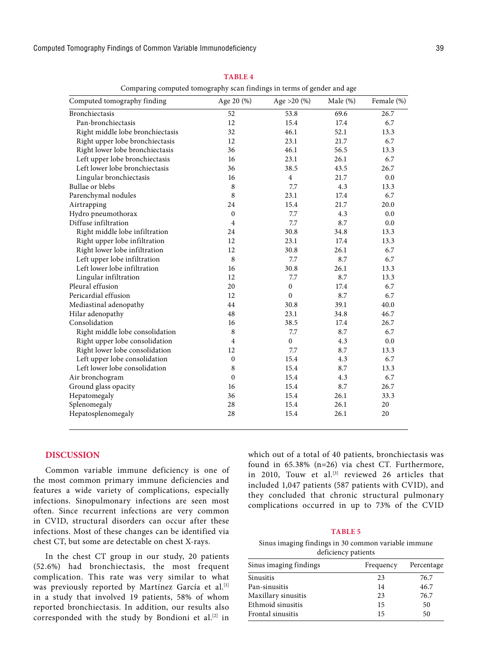Computed Tomography Findings of Common Variable Immunodeficiency 39

| Comparing computed tomography scan findings in terms of gender and age |                  |                |             |            |
|------------------------------------------------------------------------|------------------|----------------|-------------|------------|
| Computed tomography finding                                            | Age 20 (%)       | Age $>20$ (%)  | Male $(\%)$ | Female (%) |
| Bronchiectasis                                                         | 52               | 53.8           | 69.6        | 26.7       |
| Pan-bronchiectasis                                                     | 12               | 15.4           | 17.4        | 6.7        |
| Right middle lobe bronchiectasis                                       | 32               | 46.1           | 52.1        | 13.3       |
| Right upper lobe bronchiectasis                                        | 12               | 23.1           | 21.7        | 6.7        |
| Right lower lobe bronchiectasis                                        | 36               | 46.1           | 56.5        | 13.3       |
| Left upper lobe bronchiectasis                                         | 16               | 23.1           | 26.1        | 6.7        |
| Left lower lobe bronchiectasis                                         | 36               | 38.5           | 43.5        | 26.7       |
| Lingular bronchiectasis                                                | 16               | $\overline{4}$ | 21.7        | 0.0        |
| Bullae or blebs                                                        | 8                | 7.7            | 4.3         | 13.3       |
| Parenchymal nodules                                                    | 8                | 23.1           | 17.4        | 6.7        |
| Airtrapping                                                            | 24               | 15.4           | 21.7        | 20.0       |
| Hydro pneumothorax                                                     | $\mathbf{0}$     | 7.7            | 4.3         | 0.0        |
| Diffuse infiltration                                                   | $\overline{4}$   | 7.7            | 8.7         | 0.0        |
| Right middle lobe infiltration                                         | 24               | 30.8           | 34.8        | 13.3       |
| Right upper lobe infiltration                                          | 12               | 23.1           | 17.4        | 13.3       |
| Right lower lobe infiltration                                          | 12               | 30.8           | 26.1        | 6.7        |
| Left upper lobe infiltration                                           | 8                | 7.7            | 8.7         | 6.7        |
| Left lower lobe infiltration                                           | 16               | 30.8           | 26.1        | 13.3       |
| Lingular infiltration                                                  | 12               | 7.7            | 8.7         | 13.3       |
| Pleural effusion                                                       | 20               | $\mathbf{0}$   | 17.4        | 6.7        |
| Pericardial effusion                                                   | 12               | $\mathbf{0}$   | 8.7         | 6.7        |
| Mediastinal adenopathy                                                 | 44               | 30.8           | 39.1        | 40.0       |
| Hilar adenopathy                                                       | 48               | 23.1           | 34.8        | 46.7       |
| Consolidation                                                          | 16               | 38.5           | 17.4        | 26.7       |
| Right middle lobe consolidation                                        | 8                | 7.7            | 8.7         | 6.7        |
| Right upper lobe consolidation                                         | $\overline{4}$   | $\overline{0}$ | 4.3         | 0.0        |
| Right lower lobe consolidation                                         | 12               | 7.7            | 8.7         | 13.3       |
| Left upper lobe consolidation                                          | $\boldsymbol{0}$ | 15.4           | 4.3         | 6.7        |
| Left lower lobe consolidation                                          | 8                | 15.4           | 8.7         | 13.3       |
| Air bronchogram                                                        | $\mathbf{0}$     | 15.4           | 4.3         | 6.7        |
| Ground glass opacity                                                   | 16               | 15.4           | 8.7         | 26.7       |
| Hepatomegaly                                                           | 36               | 15.4           | 26.1        | 33.3       |
| Splenomegaly                                                           | 28               | 15.4           | 26.1        | 20         |
| Hepatosplenomegaly                                                     | 28               | 15.4           | 26.1        | 20         |

**Table 4**

## **DISCUSSION**

Common variable immune deficiency is one of the most common primary immune deficiencies and features a wide variety of complications, especially infections. Sinopulmonary infections are seen most often. Since recurrent infections are very common in CVID, structural disorders can occur after these infections. Most of these changes can be identified via chest CT, but some are detectable on chest X-rays.

In the chest CT group in our study, 20 patients (52.6%) had bronchiectasis, the most frequent complication. This rate was very similar to what was previously reported by Martínez García et al.<sup>[1]</sup> in a study that involved 19 patients, 58% of whom reported bronchiectasis. In addition, our results also corresponded with the study by Bondioni et al.[2] in

which out of a total of 40 patients, bronchiectasis was found in 65.38% (n=26) via chest CT. Furthermore, in 2010, Touw et al.<sup>[3]</sup> reviewed 26 articles that included 1,047 patients (587 patients with CVID), and they concluded that chronic structural pulmonary complications occurred in up to 73% of the CVID

#### **TablE 5**

Sinus imaging findings in 30 common variable immune deficiency patients

| Sinus imaging findings | Frequency | Percentage |
|------------------------|-----------|------------|
| Sinusitis              | 23        | 76.7       |
| Pan-sinusitis          | 14        | 46.7       |
| Maxillary sinusitis    | 23        | 76.7       |
| Ethmoid sinusitis      | 15        | 50         |
| Frontal sinusitis      | 15        | 50         |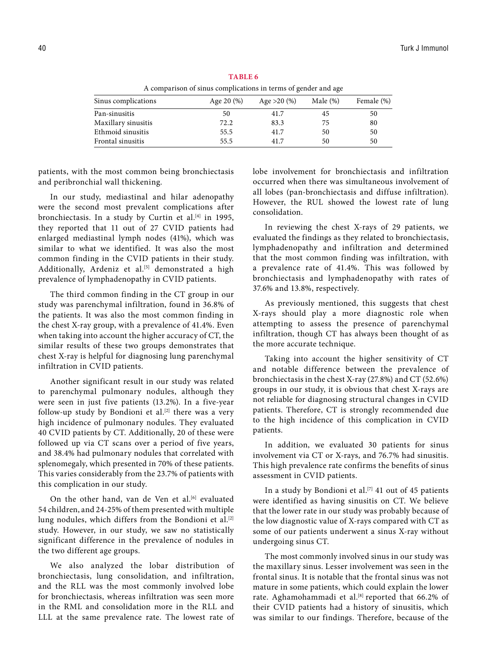A comparison of sinus complications in terms of gender and age Sinus complications <br>Age 20 (%) Age >20 (%) Male (%) Female (%) Pan-sinusitis 50 41.7 45 50<br>Maxillary sinusitis 50 50 41.7 45 50<br>80.3 75 80 Maxillary sinusitis  $72.2$  83.3 75 80<br>
Ethmoid sinusitis 55.5 41.7 50 50 Ethmoid sinusitis 55.5 Frontal sinusitis 55.5 41.7 50 50

**Table 6**

patients, with the most common being bronchiectasis and peribronchial wall thickening.

In our study, mediastinal and hilar adenopathy were the second most prevalent complications after bronchiectasis. In a study by Curtin et al.<sup>[4]</sup> in 1995, they reported that 11 out of 27 CVID patients had enlarged mediastinal lymph nodes (41%), which was similar to what we identified. It was also the most common finding in the CVID patients in their study. Additionally, Ardeniz et al.<sup>[5]</sup> demonstrated a high prevalence of lymphadenopathy in CVID patients.

The third common finding in the CT group in our study was parenchymal infiltration, found in 36.8% of the patients. It was also the most common finding in the chest X-ray group, with a prevalence of 41.4%. Even when taking into account the higher accuracy of CT, the similar results of these two groups demonstrates that chest X-ray is helpful for diagnosing lung parenchymal infiltration in CVID patients.

Another significant result in our study was related to parenchymal pulmonary nodules, although they were seen in just five patients (13.2%). In a five-year follow-up study by Bondioni et al. $[2]$  there was a very high incidence of pulmonary nodules. They evaluated 40 CVID patients by CT. Additionally, 20 of these were followed up via CT scans over a period of five years, and 38.4% had pulmonary nodules that correlated with splenomegaly, which presented in 70% of these patients. This varies considerably from the 23.7% of patients with this complication in our study.

On the other hand, van de Ven et al.<sup>[6]</sup> evaluated 54 children, and 24-25% of them presented with multiple lung nodules, which differs from the Bondioni et al.<sup>[2]</sup> study. However, in our study, we saw no statistically significant difference in the prevalence of nodules in the two different age groups.

We also analyzed the lobar distribution of bronchiectasis, lung consolidation, and infiltration, and the RLL was the most commonly involved lobe for bronchiectasis, whereas infiltration was seen more in the RML and consolidation more in the RLL and LLL at the same prevalence rate. The lowest rate of lobe involvement for bronchiectasis and infiltration occurred when there was simultaneous involvement of all lobes (pan-bronchiectasis and diffuse infiltration). However, the RUL showed the lowest rate of lung consolidation.

In reviewing the chest X-rays of 29 patients, we evaluated the findings as they related to bronchiectasis, lymphadenopathy and infiltration and determined that the most common finding was infiltration, with a prevalence rate of 41.4%. This was followed by bronchiectasis and lymphadenopathy with rates of 37.6% and 13.8%, respectively.

As previously mentioned, this suggests that chest X-rays should play a more diagnostic role when attempting to assess the presence of parenchymal infiltration, though CT has always been thought of as the more accurate technique.

Taking into account the higher sensitivity of CT and notable difference between the prevalence of bronchiectasis in the chest X-ray (27.8%) and CT (52.6%) groups in our study, it is obvious that chest X-rays are not reliable for diagnosing structural changes in CVID patients. Therefore, CT is strongly recommended due to the high incidence of this complication in CVID patients.

In addition, we evaluated 30 patients for sinus involvement via CT or X-rays, and 76.7% had sinusitis. This high prevalence rate confirms the benefits of sinus assessment in CVID patients.

In a study by Bondioni et al.<sup>[7]</sup> 41 out of 45 patients were identified as having sinusitis on CT. We believe that the lower rate in our study was probably because of the low diagnostic value of X-rays compared with CT as some of our patients underwent a sinus X-ray without undergoing sinus CT.

The most commonly involved sinus in our study was the maxillary sinus. Lesser involvement was seen in the frontal sinus. It is notable that the frontal sinus was not mature in some patients, which could explain the lower rate. Aghamohammadi et al.<sup>[8]</sup> reported that 66.2% of their CVID patients had a history of sinusitis, which was similar to our findings. Therefore, because of the